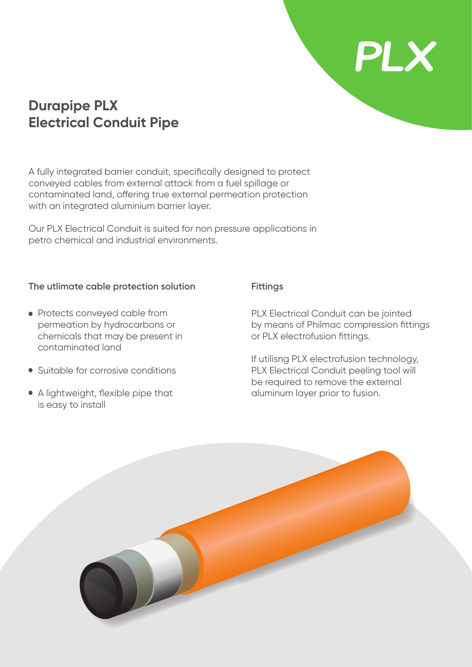## **Durapipe PLX Electrical Conduit Pipe**

A fully integrated barrier conduit, specifically designed to protect conveyed cables from external attack from a fuel spillage or contaminated land, offering true external permeation protection with an integrated aluminium barrier layer.

Our PLX Electrical Conduit is suited for non pressure applications in petro chemical and industrial environments.

### **The utlimate cable protection solution Fittings**

- Protects conveyed cable from permeation by hydrocarbons or chemicals that may be present in contaminated land
- Suitable for corrosive conditions
- A lightweight, flexible pipe that is easy to install

PLX Electrical Conduit can be jointed by means of Philmac compression fittings or PLX electrofusion fittings.

**PLX** 

If utilisng PLX electrofusion technology, PLX Electrical Conduit peeling tool will be required to remove the external aluminum layer prior to fusion.